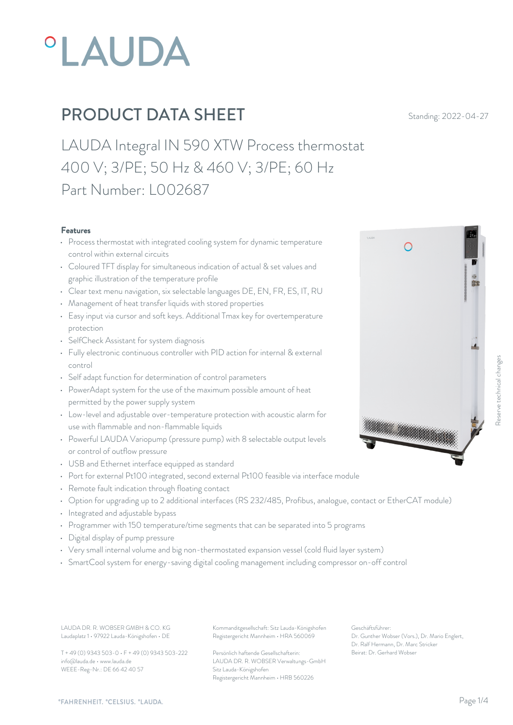

LAUDA Integral IN 590 XTW Process thermostat 400 V; 3/PE; 50 Hz & 460 V; 3/PE; 60 Hz Part Number: L002687

#### Features

- Process thermostat with integrated cooling system for dynamic temperature control within external circuits
- Coloured TFT display for simultaneous indication of actual & set values and graphic illustration of the temperature profile
- Clear text menu navigation, six selectable languages DE, EN, FR, ES, IT, RU
- Management of heat transfer liquids with stored properties
- Easy input via cursor and soft keys. Additional Tmax key for overtemperature protection
- SelfCheck Assistant for system diagnosis
- Fully electronic continuous controller with PID action for internal & external control
- Self adapt function for determination of control parameters
- PowerAdapt system for the use of the maximum possible amount of heat permitted by the power supply system
- Low-level and adjustable over-temperature protection with acoustic alarm for<br>use with flammable and non-flammable liquids<br>and context of coloctable output levels use with flammable and non-flammable liquids
- Powerful LAUDA Variopump (pressure pump) with 8 selectable output levels or control of outflow pressure
- USB and Ethernet interface equipped as standard
- Port for external Pt100 integrated, second external Pt100 feasible via interface module
- Remote fault indication through floating contact
- Option for upgrading up to 2 additional interfaces (RS 232/485, Profibus, analogue, contact or EtherCAT module)
- Integrated and adjustable bypass
- Programmer with 150 temperature/time segments that can be separated into 5 programs
- Digital display of pump pressure
- Very small internal volume and big non-thermostated expansion vessel (cold fluid layer system)
- SmartCool system for energy-saving digital cooling management including compressor on-off control

Laudaplatz 1 • 97922 Lauda-Königshofen • DE

T + 49 (0) 9343 503-0 • F + 49 (0) 9343 503-222 info@lauda.de • www.lauda.de WEEE-Reg-Nr.: DE 66 42 40 57

LAUDA DR. R. WOBSER GMBH & CO. KG Kommanditgesellschaft: Sitz Lauda-Königshofen Geschäftsführer: Registergericht Mannheim • HRA 560069

> Persönlich haftende Gesellschafterin: Beirat: Dr. Gerhard Wobse LAUDA DR. R. WOBSER Verwaltungs-GmbH Sitz Lauda-Königshofen Registergericht Mannheim • HRB 560226

Geschäftsführer: Dr. Gunther Wobser (Vors.), Dr. Mario Englert, Dr. Ralf Hermann, Dr. Marc Stricker

*"FAHRENHEIT. "CELSIUS. "LAUDA.* 

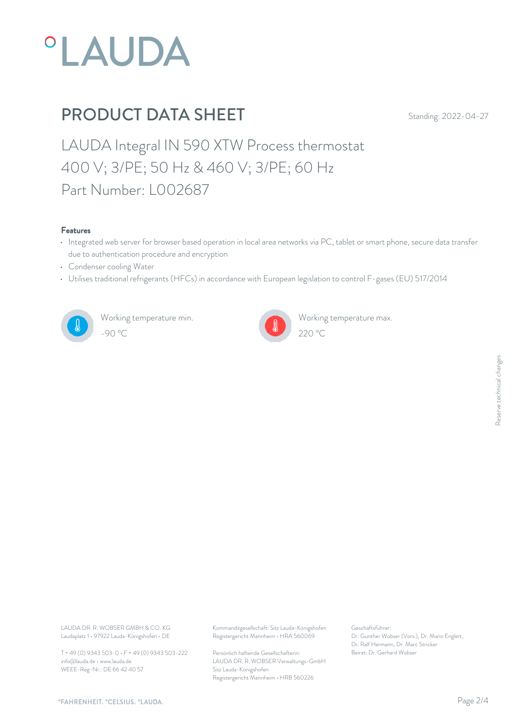

LAUDA Integral IN 590 XTW Process thermostat 400 V; 3/PE; 50 Hz & 460 V; 3/PE; 60 Hz Part Number: L002687

#### Features

- Integrated web server for browser based operation in local area networks via PC, tablet or smart phone, secure data transfer due to authentication procedure and encryption
- Condenser cooling Water
- Utilises traditional refrigerants (HFCs) in accordance with European legislation to control F-gases (EU) 517/2014



Working temperature min. -90 °C 220 °C



Working temperature max.

Laudaplatz 1 • 97922 Lauda-Königshofen • DE

T + 49 (0) 9343 503-0 • F + 49 (0) 9343 503-222 info@lauda.de • www.lauda.de WEEE-Reg-Nr.: DE 66 42 40 57

LAUDA DR. R. WOBSER GMBH & CO. KG Kommanditgesellschaft: Sitz Lauda-Königshofen Geschäftsführer: Registergericht Mannheim • HRA 560069

> Persönlich haftende Gesellschafterin: Beirat: Dr. Gerhard Wobse LAUDA DR. R. WOBSER Verwaltungs-GmbH Sitz Lauda-Königshofen Registergericht Mannheim • HRB 560226

Geschäftsführer: Dr. Gunther Wobser (Vors.), Dr. Mario Englert, Dr. Ralf Hermann, Dr. Marc Stricker Beschäftsführer:<br>Dr. Gunther Wobser (Vors.), Dr. Mario Englert,<br>Dr. Ralf Hermann, Dr. Marc Stricker<br>Beirat: Dr. Gerhard Wobser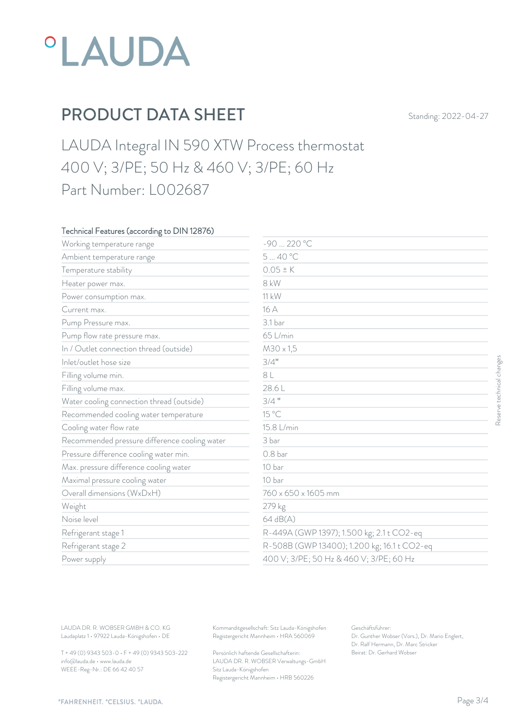

LAUDA Integral IN 590 XTW Process thermostat 400 V; 3/PE; 50 Hz & 460 V; 3/PE; 60 Hz Part Number: L002687

#### Technical Features (according to DIN 12876)

| Working temperature range                     | -90  220 °C         |                                             |  |
|-----------------------------------------------|---------------------|---------------------------------------------|--|
| Ambient temperature range                     | 540 °C              |                                             |  |
| Temperature stability                         | $0.05 \pm K$        |                                             |  |
| Heater power max.                             | 8 kW                |                                             |  |
| Power consumption max.                        | 11 kW               |                                             |  |
| Current max.                                  | 16 A                |                                             |  |
| Pump Pressure max.                            | 3.1 bar             |                                             |  |
| Pump flow rate pressure max.                  | 65 L/min            |                                             |  |
| In / Outlet connection thread (outside)       | $M30 \times 1,5$    |                                             |  |
| Inlet/outlet hose size                        | 3/4"                |                                             |  |
| Filling volume min.                           | 8L                  |                                             |  |
| Filling volume max.                           | 28.6L               |                                             |  |
| Water cooling connection thread (outside)     | $3/4$ "             |                                             |  |
| Recommended cooling water temperature         | 15 °C               |                                             |  |
| Cooling water flow rate                       | 15.8 L/min          |                                             |  |
| Recommended pressure difference cooling water | 3 bar               |                                             |  |
| Pressure difference cooling water min.        | 0.8 <sub>bar</sub>  |                                             |  |
| Max. pressure difference cooling water        | 10 bar              |                                             |  |
| Maximal pressure cooling water                | 10 bar              |                                             |  |
| Overall dimensions (WxDxH)                    | 760 x 650 x 1605 mm |                                             |  |
| Weight                                        | 279 kg              |                                             |  |
| Noise level                                   | $64$ dB(A)          |                                             |  |
| Refrigerant stage 1                           |                     | R-449A (GWP 1397); 1.500 kg; 2.1 t CO2-eq   |  |
| Refrigerant stage 2                           |                     | R-508B (GWP 13400); 1.200 kg; 16.1 t CO2-eq |  |
| Power supply                                  |                     | 400 V; 3/PE; 50 Hz & 460 V; 3/PE; 60 Hz     |  |

T + 49 (0) 9343 503-0 • F + 49 (0) 9343 503-222 info@lauda.de • www.lauda.de WEEE-Reg-Nr.: DE 66 42 40 57

Persönlich haftende Gesellschafterin: Beirat: Dr. Gerhard Wobse LAUDA DR. R. WOBSER Verwaltungs-GmbH Sitz Lauda-Königshofen Registergericht Mannheim • HRB 560226